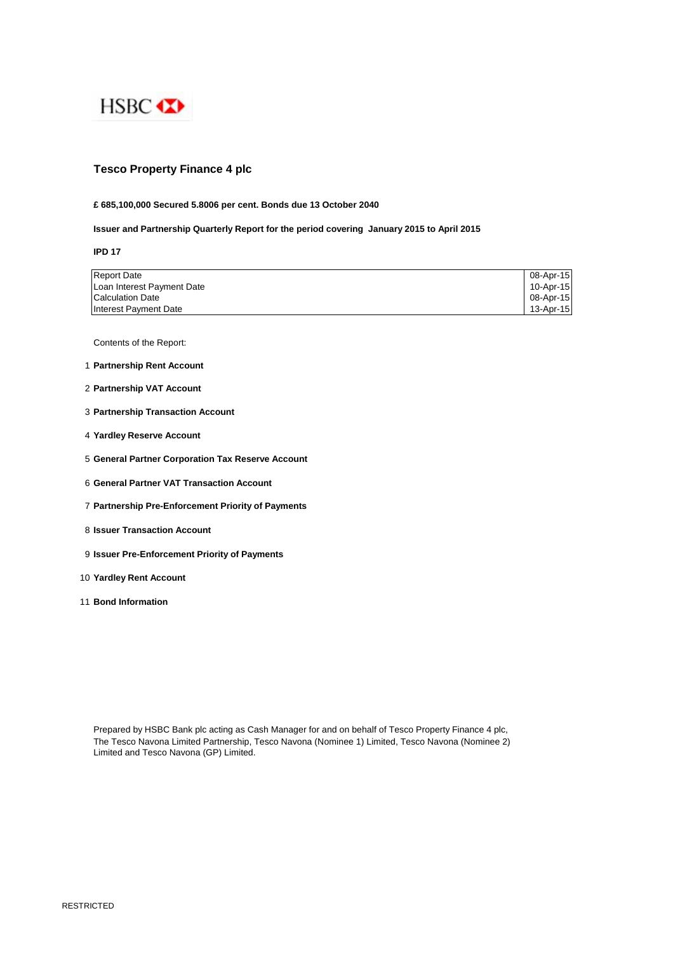

# **Tesco Property Finance 4 plc**

### **£ 685,100,000 Secured 5.8006 per cent. Bonds due 13 October 2040**

## **Issuer and Partnership Quarterly Report for the period covering January 2015 to April 2015**

**IPD 17**

| <b>Report Date</b>         | 08-Apr-15 |
|----------------------------|-----------|
| Loan Interest Payment Date | 10-Apr-15 |
| <b>Calculation Date</b>    | 08-Apr-15 |
| Interest Payment Date      | 13-Apr-15 |

Contents of the Report:

- 1 **Partnership Rent Account**
- 2 **Partnership VAT Account**
- 3 **Partnership Transaction Account**
- 4 **Yardley Reserve Account**
- 5 **General Partner Corporation Tax Reserve Account**
- 6 **General Partner VAT Transaction Account**
- 7 **Partnership Pre-Enforcement Priority of Payments**
- 8 **Issuer Transaction Account**
- 9 **Issuer Pre-Enforcement Priority of Payments**
- 10 **Yardley Rent Account**
- 11 **Bond Information**

Prepared by HSBC Bank plc acting as Cash Manager for and on behalf of Tesco Property Finance 4 plc, The Tesco Navona Limited Partnership, Tesco Navona (Nominee 1) Limited, Tesco Navona (Nominee 2) Limited and Tesco Navona (GP) Limited.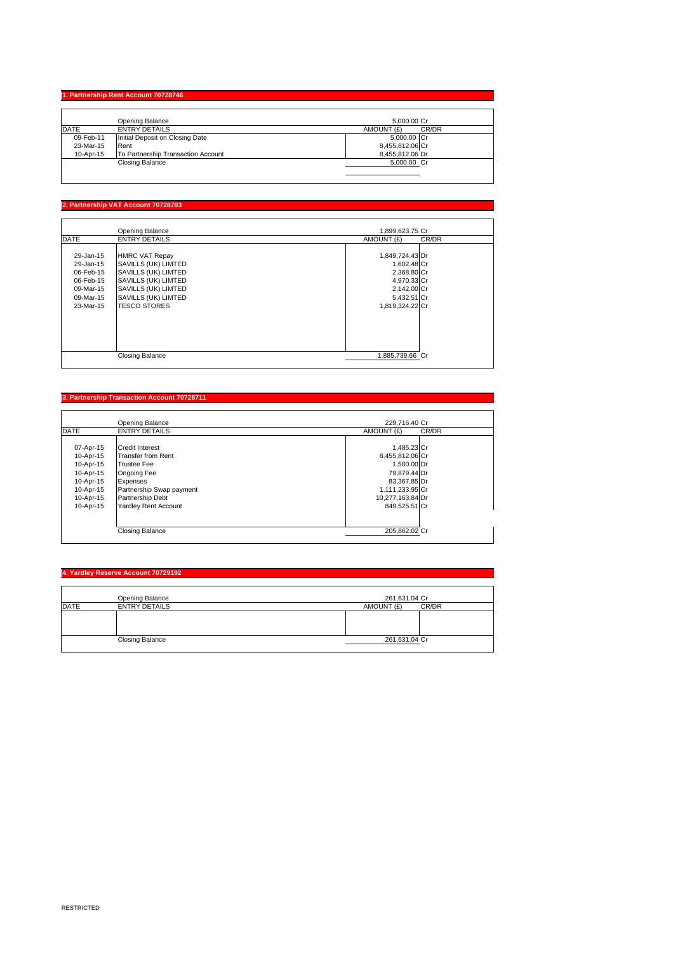#### **1. Partnership Rent Account 707**

|              | Opening Balance                    | 5.000.00 Cr         |
|--------------|------------------------------------|---------------------|
| <b>IDATE</b> | <b>ENTRY DETAILS</b>               | CR/DR<br>AMOUNT (£) |
| 09-Feb-11    | Initial Deposit on Closing Date    | 5,000.00 Cr         |
| 23-Mar-15    | Rent                               | 8,455,812.06 Cr     |
| 10-Apr-15    | To Partnership Transaction Account | 8.455.812.06 Dr     |
|              | Closing Balance                    | 5,000.00 Cr         |
|              |                                    |                     |

### **2. Partnership VAT Account 70728703**

|                                                                                         | Opening Balance                                                                                                                                                 | 1,899,623.75 Cr                                                                                               |
|-----------------------------------------------------------------------------------------|-----------------------------------------------------------------------------------------------------------------------------------------------------------------|---------------------------------------------------------------------------------------------------------------|
| <b>DATE</b>                                                                             | <b>ENTRY DETAILS</b>                                                                                                                                            | CR/DR<br>AMOUNT (£)                                                                                           |
| 29-Jan-15<br>29-Jan-15<br>06-Feb-15<br>06-Feb-15<br>09-Mar-15<br>09-Mar-15<br>23-Mar-15 | <b>HMRC VAT Repay</b><br>SAVILLS (UK) LIMTED<br>SAVILLS (UK) LIMTED<br>SAVILLS (UK) LIMTED<br>SAVILLS (UK) LIMTED<br>SAVILLS (UK) LIMTED<br><b>TESCO STORES</b> | 1,849,724.43 Dr<br>1,602.48 Cr<br>2,368.80 Cr<br>4,970.33 Cr<br>2,142.00 Cr<br>5,432.51 Cr<br>1,819,324.22 Cr |
|                                                                                         | <b>Closing Balance</b>                                                                                                                                          | 1.885.739.66 Cr                                                                                               |

#### **3. Partnership Transaction Account 70728711**

|                                                                                                      | Opening Balance                                                                                                                                                                     | 229.716.40 Cr                                                                                                                         |       |
|------------------------------------------------------------------------------------------------------|-------------------------------------------------------------------------------------------------------------------------------------------------------------------------------------|---------------------------------------------------------------------------------------------------------------------------------------|-------|
| <b>DATE</b>                                                                                          | <b>ENTRY DETAILS</b>                                                                                                                                                                | AMOUNT (£)                                                                                                                            | CR/DR |
| 07-Apr-15<br>10-Apr-15<br>10-Apr-15<br>10-Apr-15<br>10-Apr-15<br>10-Apr-15<br>10-Apr-15<br>10-Apr-15 | <b>Credit Interest</b><br><b>Transfer from Rent</b><br><b>Trustee Fee</b><br>Ongoing Fee<br>Expenses<br>Partnership Swap payment<br>Partnership Debt<br><b>Yardley Rent Account</b> | 1,485.23 Cr<br>8,455,812.06 Cr<br>1,500.00 Dr<br>79,879.44 Dr<br>83,367.85 Dr<br>1,111,233.95 Cr<br>10,277,163.84 Dr<br>849.525.51 Cr |       |
|                                                                                                      | <b>Closing Balance</b>                                                                                                                                                              | 205.862.02 Cr                                                                                                                         |       |

### **4. Yardley Reserve Account 70729192**

|      | Opening Balance        | 261,631.04 Cr       |
|------|------------------------|---------------------|
| DATE | <b>ENTRY DETAILS</b>   | CR/DR<br>AMOUNT (£) |
|      |                        |                     |
|      |                        |                     |
|      |                        |                     |
|      | <b>Closing Balance</b> | 261,631.04 Cr       |
|      |                        |                     |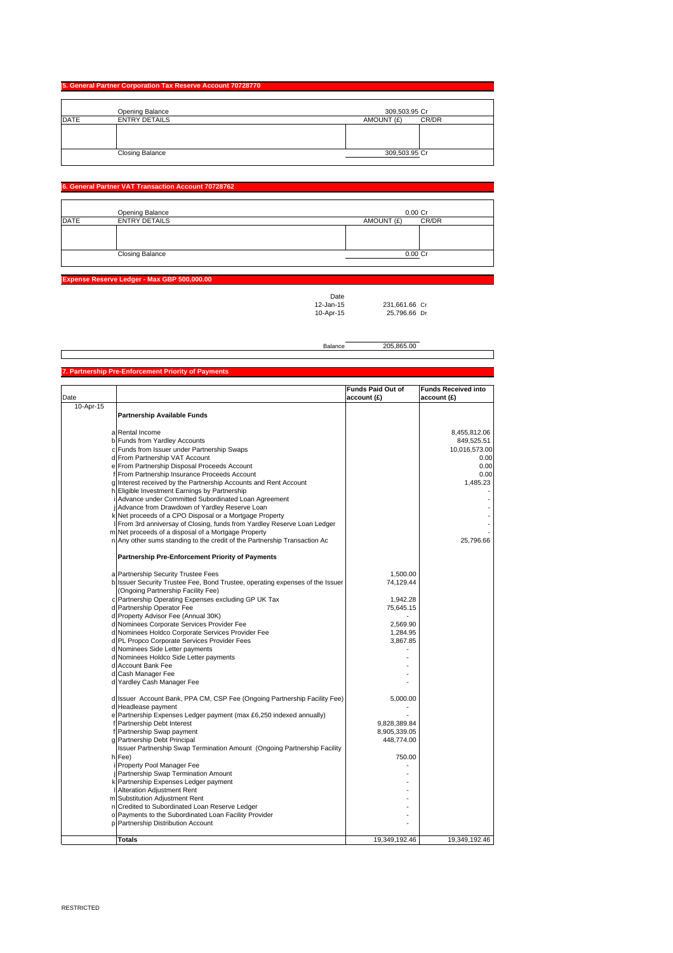#### **5. General Partner Corporation Tax Reserve Account 70728770**

|             | Opening Balance        | 309,503.95 Cr       |
|-------------|------------------------|---------------------|
| <b>DATE</b> | <b>ENTRY DETAILS</b>   | AMOUNT (£)<br>CR/DR |
|             |                        |                     |
|             | <b>Closing Balance</b> | 309,503.95 Cr       |

#### **6. General Partner VAT Transaction Account 70728762**

|             | Opening Balance        | $0.00C$ r           |
|-------------|------------------------|---------------------|
| <b>DATE</b> | <b>ENTRY DETAILS</b>   | CR/DR<br>AMOUNT (£) |
|             |                        |                     |
|             |                        |                     |
|             |                        |                     |
|             | <b>Closing Balance</b> | $0.00C$ r           |
|             |                        |                     |

**Expense Reserve Ledger - Max GBP 50** 

Date<br>12-Jan-15<br>10-Apr-15 12-Jan-15 231,661.66 Cr 10-Apr-15 25,796.66 Dr

┑

|                                                     | Balance | 205 865 00 |
|-----------------------------------------------------|---------|------------|
|                                                     |         |            |
|                                                     |         |            |
| 7. Partnership Pre-Enforcement Priority of Payments |         |            |

|              |                                                                               | <b>Funds Paid Out of</b> | <b>Funds Received into</b> |
|--------------|-------------------------------------------------------------------------------|--------------------------|----------------------------|
| Date         |                                                                               | account (£)              | account (£)                |
| $10$ -Apr-15 |                                                                               |                          |                            |
|              | <b>Partnership Available Funds</b>                                            |                          |                            |
|              |                                                                               |                          |                            |
|              | a Rental Income                                                               |                          | 8,455,812.06               |
|              | b Funds from Yardley Accounts                                                 |                          | 849,525.51                 |
|              | c Funds from Issuer under Partnership Swaps                                   |                          | 10,016,573.00              |
|              | d From Partnership VAT Account                                                |                          | 0.00                       |
|              | e From Partnership Disposal Proceeds Account                                  |                          | 0.00                       |
|              | From Partnership Insurance Proceeds Account                                   |                          | 0.00                       |
| g            | Interest received by the Partnership Accounts and Rent Account                |                          | 1,485.23                   |
|              | h Eligible Investment Earnings by Partnership                                 |                          |                            |
|              | Advance under Committed Subordinated Loan Agreement                           |                          |                            |
|              | Advance from Drawdown of Yardley Reserve Loan                                 |                          |                            |
|              | k Net proceeds of a CPO Disposal or a Mortgage Property                       |                          |                            |
|              | From 3rd anniversay of Closing, funds from Yardley Reserve Loan Ledger        |                          |                            |
|              | m Net proceeds of a disposal of a Mortgage Property                           |                          |                            |
|              | n Any other sums standing to the credit of the Partnership Transaction Ac     |                          | 25,796.66                  |
|              | <b>Partnership Pre-Enforcement Priority of Payments</b>                       |                          |                            |
|              | a Partnership Security Trustee Fees                                           | 1,500.00                 |                            |
|              | b Issuer Security Trustee Fee, Bond Trustee, operating expenses of the Issuer | 74,129.44                |                            |
|              | (Ongoing Partnership Facility Fee)                                            |                          |                            |
|              | c Partnership Operating Expenses excluding GP UK Tax                          | 1,942.28                 |                            |
|              | d Partnership Operator Fee                                                    | 75,645.15                |                            |
|              | d Property Advisor Fee (Annual 30K)                                           |                          |                            |
|              | d Nominees Corporate Services Provider Fee                                    | 2,569.90                 |                            |
|              | d Nominees Holdco Corporate Services Provider Fee                             | 1,284.95                 |                            |
|              | d PL Propco Corporate Services Provider Fees                                  | 3,867.85                 |                            |
|              | d Nominees Side Letter payments                                               |                          |                            |
|              | d Nominees Holdco Side Letter payments                                        |                          |                            |
|              | d Account Bank Fee                                                            |                          |                            |
|              | d Cash Manager Fee                                                            |                          |                            |
|              | d Yardley Cash Manager Fee                                                    |                          |                            |
|              |                                                                               |                          |                            |
|              | d Issuer Account Bank, PPA CM, CSP Fee (Ongoing Partnership Facility Fee)     | 5,000.00                 |                            |
|              | d Headlease payment                                                           |                          |                            |
|              | e Partnership Expenses Ledger payment (max £6,250 indexed annually)           |                          |                            |
|              | Partnership Debt Interest                                                     | 9,828,389.84             |                            |
|              | f Partnership Swap payment                                                    | 8,905,339.05             |                            |
|              | g Partnership Debt Principal                                                  | 448,774.00               |                            |
|              | Issuer Partnership Swap Termination Amount (Ongoing Partnership Facility      |                          |                            |
|              | h Fee)                                                                        | 750.00                   |                            |
|              | Property Pool Manager Fee                                                     |                          |                            |
|              | Partnership Swap Termination Amount                                           |                          |                            |
|              | k Partnership Expenses Ledger payment                                         |                          |                            |
|              | <b>Alteration Adjustment Rent</b>                                             |                          |                            |
|              | m Substitution Adjustment Rent                                                |                          |                            |
|              | n Credited to Subordinated Loan Reserve Ledger                                |                          |                            |
|              | o Payments to the Subordinated Loan Facility Provider                         |                          |                            |
|              | p Partnership Distribution Account                                            |                          |                            |
|              | <b>Totals</b>                                                                 | 19,349,192.46            | 19,349,192.46              |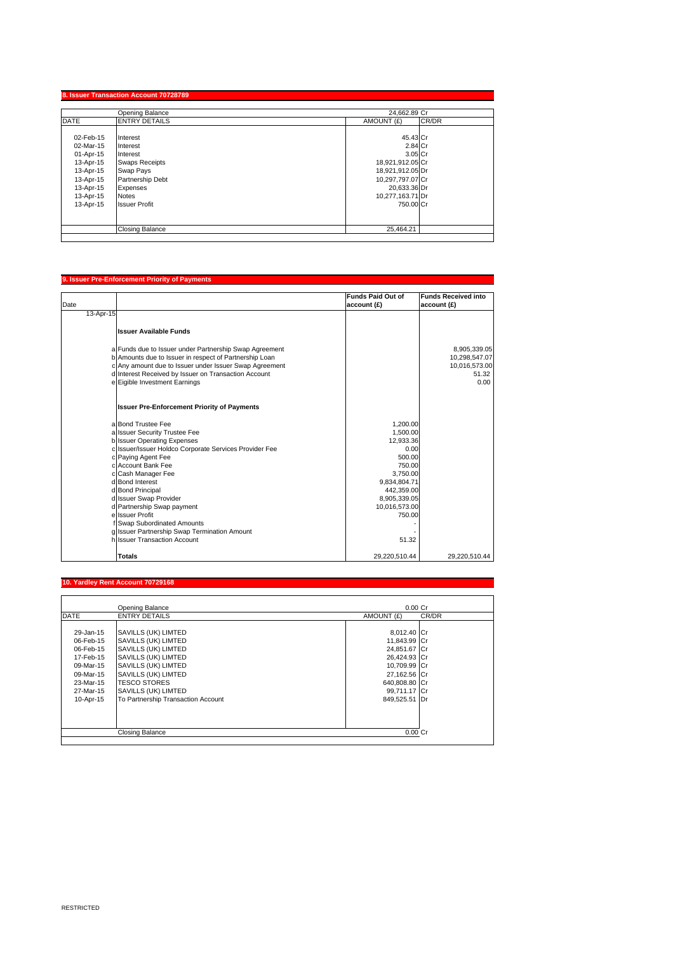|             | Opening Balance        | 24.662.89 Cr     |       |
|-------------|------------------------|------------------|-------|
| <b>DATE</b> | <b>ENTRY DETAILS</b>   | AMOUNT (£)       | CR/DR |
| 02-Feb-15   | Interest               | 45.43 Cr         |       |
| 02-Mar-15   | Interest               | 2.84 Cr          |       |
| 01-Apr-15   | Interest               | 3.05 Cr          |       |
| 13-Apr-15   | <b>Swaps Receipts</b>  | 18,921,912.05 Cr |       |
| 13-Apr-15   | Swap Pays              | 18,921,912.05 Dr |       |
| 13-Apr-15   | Partnership Debt       | 10,297,797.07 Cr |       |
| 13-Apr-15   | Expenses               | 20,633.36 Dr     |       |
| 13-Apr-15   | <b>Notes</b>           | 10,277,163.71 Dr |       |
| 13-Apr-15   | <b>Issuer Profit</b>   | 750.00 Cr        |       |
|             |                        |                  |       |
|             | <b>Closing Balance</b> | 25,464.21        |       |

## **9. Issuer Pre-Enforcement Priority of Payments** Date **Funds Paid Out of account (£) Funds Received into account (£)** 13-Apr-15 **Issuer Available Funds** a Funds due to Issuer under Partnership Swap Agreement<br>
b Amounts due to Issuer in respect of Partnership Loan<br>
c Any amount due to Issuer on Transaction Account<br>
d Interest Received by Issuer on Transaction Account<br>
e Eig **Issuer Pre-Enforcement Priority of Payments** a Bond Trustee Fee 1,200.00<br>a Issuer Security Trustee Fee 1,500.00 a Issuer Security Trustee Fee 1,500.00<br>
a Issuer Security Trustee Fee 1,500.00<br>
Issuer Operating Expenses 12,933.36<br>
c Paying Agent Fee 1,000<br>
c Account Bank Fee 1,000<br>
c Account Bank Fee 1,750.00 b Issuer Operating Expenses 12,933.36 c Issuer/Issuer Holdco Corporate Services Provider Fee 0.00 c Paying Agent Fee 500.00 c Account Bank Fee 750.00 Cash Manager Fee 3,750.00<br>
Bond Interest 9,834,804.71<br>
Bond Principal 442,359.00 d Bond Interest 9,834,804.71 d Bond Principal 442,359.00 d Issuer Swap Provider and the Issuer Swap Provider and the Issuer Swap Provider and the Issuer Swap Provider <br>Partnership Swap payment and the Islamic Swap of the Islamic Swap of the Islamic Swap of the Islamic Swap Provi d Partnership Swap payment 10,016,573.00<br>| Saudi Partnership Swap payment 10,016,573.00<br>| Issuer Profit 150.00 e Issuer Profit f Swap Subordinated Amounts - g Issuer Partnership Swap Termination Amount h Issuer Transaction Account 51.32 **Totals** 29,220,510.44 29,220,510.44

#### **Yardley Rent Account 70**

|             | Opening Balance                    | $0.00$ Cr           |
|-------------|------------------------------------|---------------------|
| <b>DATE</b> | <b>ENTRY DETAILS</b>               | AMOUNT (£)<br>CR/DR |
|             |                                    |                     |
| 29-Jan-15   | SAVILLS (UK) LIMTED                | 8,012.40 Cr         |
| 06-Feb-15   | SAVILLS (UK) LIMTED                | 11,843.99 Cr        |
| 06-Feb-15   | SAVILLS (UK) LIMTED                | 24,851.67 Cr        |
| 17-Feb-15   | SAVILLS (UK) LIMTED                | 26,424.93 Cr        |
| 09-Mar-15   | SAVILLS (UK) LIMTED                | 10,709.99 Cr        |
| 09-Mar-15   | SAVILLS (UK) LIMTED                | 27,162.56 Cr        |
| 23-Mar-15   | <b>TESCO STORES</b>                | 640.808.80 Cr       |
| 27-Mar-15   | SAVILLS (UK) LIMTED                | 99,711.17 Cr        |
| 10-Apr-15   | To Partnership Transaction Account | 849.525.51 Dr       |
|             |                                    |                     |
|             |                                    |                     |
|             |                                    |                     |
|             | Closing Balance                    | $0.00$ Cr           |